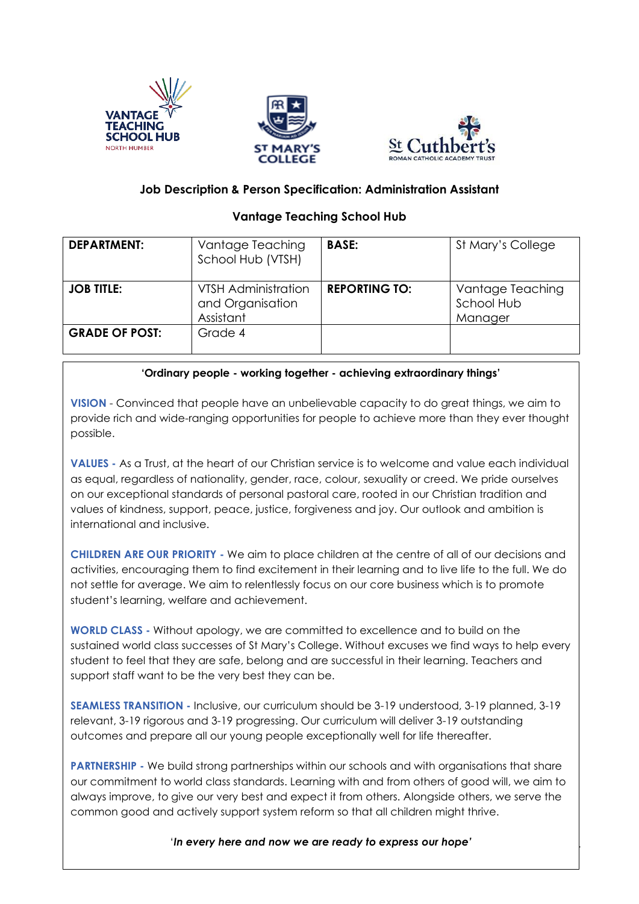





#### **Job Description & Person Specification: Administration Assistant**

#### **Vantage Teaching School Hub**

| <b>DEPARTMENT:</b>    | Vantage Teaching<br>School Hub (VTSH)                       | <b>BASE:</b>         | St Mary's College                         |
|-----------------------|-------------------------------------------------------------|----------------------|-------------------------------------------|
| <b>JOB TITLE:</b>     | <b>VTSH Administration</b><br>and Organisation<br>Assistant | <b>REPORTING TO:</b> | Vantage Teaching<br>School Hub<br>Manager |
| <b>GRADE OF POST:</b> | Grade 4                                                     |                      |                                           |

#### **'Ordinary people - working together - achieving extraordinary things'**

**VISION** - Convinced that people have an unbelievable capacity to do great things, we aim to provide rich and wide-ranging opportunities for people to achieve more than they ever thought possible.

**VALUES -** As a Trust, at the heart of our Christian service is to welcome and value each individual as equal, regardless of nationality, gender, race, colour, sexuality or creed. We pride ourselves on our exceptional standards of personal pastoral care, rooted in our Christian tradition and values of kindness, support, peace, justice, forgiveness and joy. Our outlook and ambition is international and inclusive.

**CHILDREN ARE OUR PRIORITY -** We aim to place children at the centre of all of our decisions and activities, encouraging them to find excitement in their learning and to live life to the full. We do not settle for average. We aim to relentlessly focus on our core business which is to promote student's learning, welfare and achievement.

**WORLD CLASS -** Without apology, we are committed to excellence and to build on the sustained world class successes of St Mary's College. Without excuses we find ways to help every student to feel that they are safe, belong and are successful in their learning. Teachers and support staff want to be the very best they can be.

**SEAMLESS TRANSITION -** Inclusive, our curriculum should be 3-19 understood, 3-19 planned, 3-19 relevant, 3-19 rigorous and 3-19 progressing. Our curriculum will deliver 3-19 outstanding outcomes and prepare all our young people exceptionally well for life thereafter.

**PARTNERSHIP -** We build strong partnerships within our schools and with organisations that share our commitment to world class standards. Learning with and from others of good will, we aim to always improve, to give our very best and expect it from others. Alongside others, we serve the common good and actively support system reform so that all children might thrive.

'*In every here and now we are ready to express our hope'*

1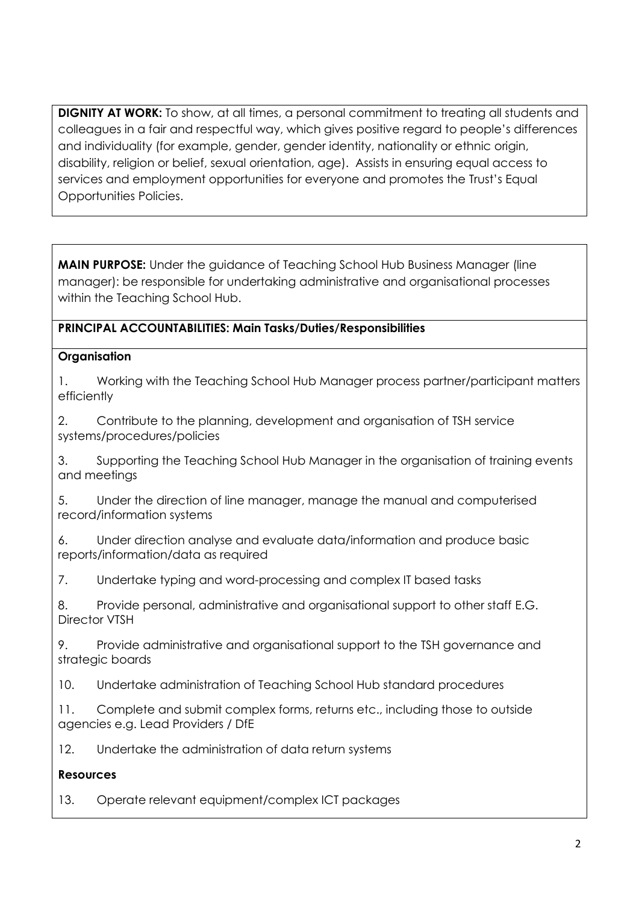**DIGNITY AT WORK:** To show, at all times, a personal commitment to treating all students and colleagues in a fair and respectful way, which gives positive regard to people's differences and individuality (for example, gender, gender identity, nationality or ethnic origin, disability, religion or belief, sexual orientation, age). Assists in ensuring equal access to services and employment opportunities for everyone and promotes the Trust's Equal Opportunities Policies.

**MAIN PURPOSE:** Under the quidance of Teaching School Hub Business Manager (line manager): be responsible for undertaking administrative and organisational processes within the Teaching School Hub.

## **PRINCIPAL ACCOUNTABILITIES: Main Tasks/Duties/Responsibilities**

### **Organisation**

1. Working with the Teaching School Hub Manager process partner/participant matters efficiently

2. Contribute to the planning, development and organisation of TSH service systems/procedures/policies

3. Supporting the Teaching School Hub Manager in the organisation of training events and meetings

5. Under the direction of line manager, manage the manual and computerised record/information systems

6. Under direction analyse and evaluate data/information and produce basic reports/information/data as required

7. Undertake typing and word-processing and complex IT based tasks

8. Provide personal, administrative and organisational support to other staff E.G. Director VTSH

9. Provide administrative and organisational support to the TSH governance and strategic boards

10. Undertake administration of Teaching School Hub standard procedures

11. Complete and submit complex forms, returns etc., including those to outside agencies e.g. Lead Providers / DfE

12. Undertake the administration of data return systems

## **Resources**

13. Operate relevant equipment/complex ICT packages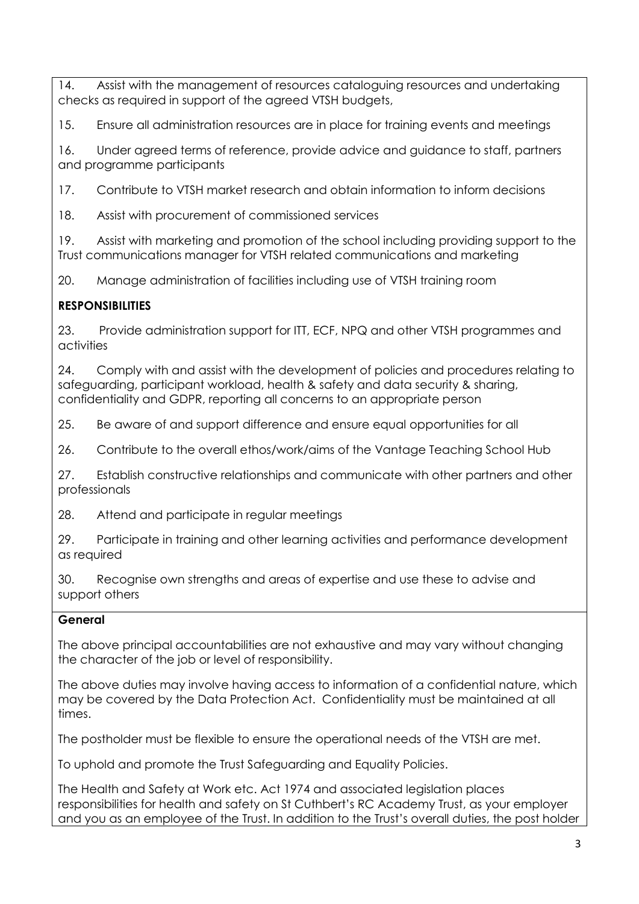14. Assist with the management of resources cataloguing resources and undertaking checks as required in support of the agreed VTSH budgets,

15. Ensure all administration resources are in place for training events and meetings

16. Under agreed terms of reference, provide advice and guidance to staff, partners and programme participants

17. Contribute to VTSH market research and obtain information to inform decisions

18. Assist with procurement of commissioned services

19. Assist with marketing and promotion of the school including providing support to the Trust communications manager for VTSH related communications and marketing

20. Manage administration of facilities including use of VTSH training room

# **RESPONSIBILITIES**

23. Provide administration support for ITT, ECF, NPQ and other VTSH programmes and activities

24. Comply with and assist with the development of policies and procedures relating to safeguarding, participant workload, health & safety and data security & sharing, confidentiality and GDPR, reporting all concerns to an appropriate person

25. Be aware of and support difference and ensure equal opportunities for all

26. Contribute to the overall ethos/work/aims of the Vantage Teaching School Hub

27. Establish constructive relationships and communicate with other partners and other professionals

28. Attend and participate in regular meetings

29. Participate in training and other learning activities and performance development as required

30. Recognise own strengths and areas of expertise and use these to advise and support others

# **General**

The above principal accountabilities are not exhaustive and may vary without changing the character of the job or level of responsibility.

The above duties may involve having access to information of a confidential nature, which may be covered by the Data Protection Act. Confidentiality must be maintained at all times.

The postholder must be flexible to ensure the operational needs of the VTSH are met.

To uphold and promote the Trust Safeguarding and Equality Policies.

The Health and Safety at Work etc. Act 1974 and associated legislation places responsibilities for health and safety on St Cuthbert's RC Academy Trust, as your employer and you as an employee of the Trust. In addition to the Trust's overall duties, the post holder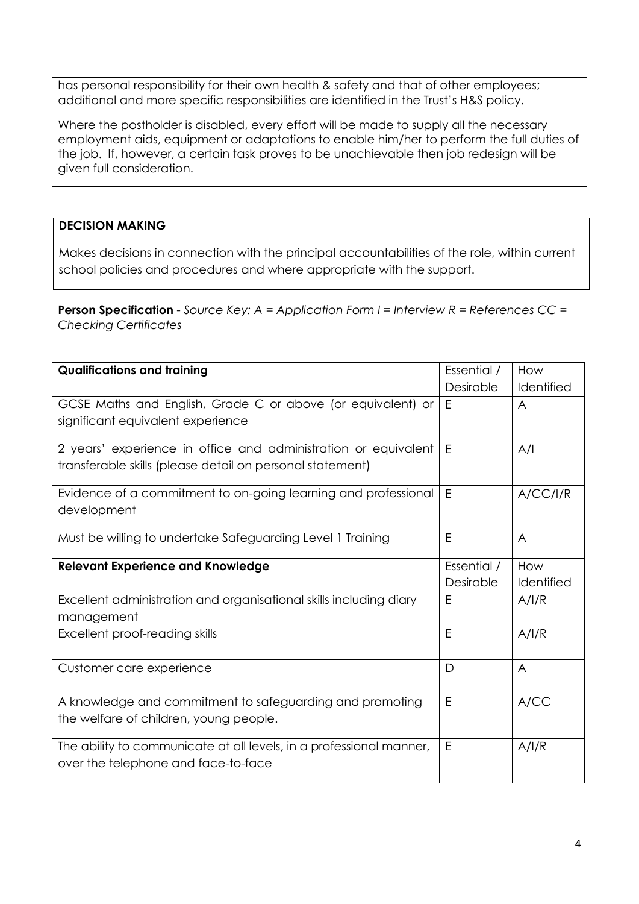has personal responsibility for their own health & safety and that of other employees; additional and more specific responsibilities are identified in the Trust's H&S policy.

Where the postholder is disabled, every effort will be made to supply all the necessary employment aids, equipment or adaptations to enable him/her to perform the full duties of the job. If, however, a certain task proves to be unachievable then job redesign will be given full consideration.

### **DECISION MAKING**

Makes decisions in connection with the principal accountabilities of the role, within current school policies and procedures and where appropriate with the support.

**Person Specification** - *Source Key: A = Application Form I = Interview R = References CC = Checking Certificates*

| <b>Qualifications and training</b>                                  | Essential / | How        |
|---------------------------------------------------------------------|-------------|------------|
|                                                                     | Desirable   | Identified |
| GCSE Maths and English, Grade C or above (or equivalent) or         | E           | A          |
| significant equivalent experience                                   |             |            |
| 2 years' experience in office and administration or equivalent      |             | A/I        |
| transferable skills (please detail on personal statement)           |             |            |
| Evidence of a commitment to on-going learning and professional      | E           | A/CC/1/R   |
| development                                                         |             |            |
| Must be willing to undertake Safeguarding Level 1 Training          | E           | A          |
| <b>Relevant Experience and Knowledge</b>                            | Essential / | How        |
|                                                                     | Desirable   | Identified |
| Excellent administration and organisational skills including diary  | E           | A/IR       |
| management                                                          |             |            |
| Excellent proof-reading skills                                      | E           | A/IR       |
| Customer care experience                                            | D           | A          |
| A knowledge and commitment to safeguarding and promoting            | E           | A/CC       |
| the welfare of children, young people.                              |             |            |
| The ability to communicate at all levels, in a professional manner, | E           | A/IR       |
| over the telephone and face-to-face                                 |             |            |